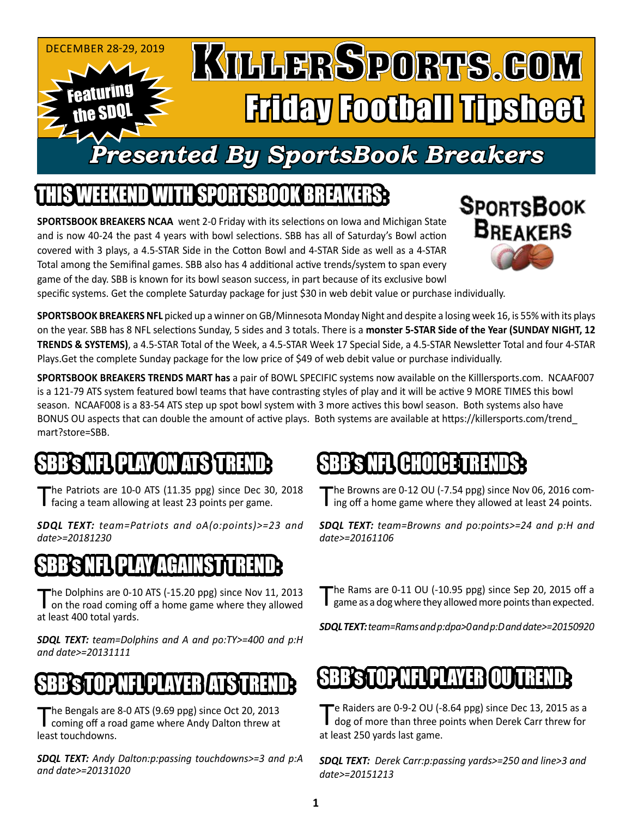

## IEEKEND WITH SPORTSBOOK BREAKER

**SPORTSBOOK BREAKERS NCAA** went 2-0 Friday with its selections on Iowa and Michigan State and is now 40-24 the past 4 years with bowl selections. SBB has all of Saturday's Bowl action covered with 3 plays, a 4.5-STAR Side in the Cotton Bowl and 4-STAR Side as well as a 4-STAR Total among the Semifinal games. SBB also has 4 additional active trends/system to span every game of the day. SBB is known for its bowl season success, in part because of its exclusive bowl



specific systems. Get the complete Saturday package for just \$30 in web debit value or purchase individually.

**SPORTSBOOK BREAKERS NFL** picked up a winner on GB/Minnesota Monday Night and despite a losing week 16, is 55% with its plays on the year. SBB has 8 NFL selections Sunday, 5 sides and 3 totals. There is a **monster 5-STAR Side of the Year (SUNDAY NIGHT, 12 TRENDS & SYSTEMS)**, a 4.5-STAR Total of the Week, a 4.5-STAR Week 17 Special Side, a 4.5-STAR Newsletter Total and four 4-STAR Plays.Get the complete Sunday package for the low price of \$49 of web debit value or purchase individually.

**SPORTSBOOK BREAKERS TRENDS MART has** a pair of BOWL SPECIFIC systems now available on the Killlersports.com. NCAAF007 is a 121-79 ATS system featured bowl teams that have contrasting styles of play and it will be active 9 MORE TIMES this bowl season. NCAAF008 is a 83-54 ATS step up spot bowl system with 3 more actives this bowl season. Both systems also have BONUS OU aspects that can double the amount of active plays. Both systems are available at https://killersports.com/trend\_ mart?store=SBB.

## SNFL PLAY ON ATS!

The Patriots are 10-0 ATS (11.35 ppg) since Dec 30, 2018 facing a team allowing at least 23 points per game.

*SDQL TEXT: team=Patriots and oA(o:points)>=23 and date>=20181230*

### R'S NFL PLAY AGAINST

The Dolphins are 0-10 ATS (-15.20 ppg) since Nov 11, 2013<br>I on the road coming off a home game where they allowed at least 400 total yards.

*SDQL TEXT: team=Dolphins and A and po:TY>=400 and p:H and date>=20131111*

#### SBBSTOPNIJPLAYEBLASTREND

The Bengals are 8-0 ATS (9.69 ppg) since Oct 20, 2013<br>coming off a road game where Andy Dalton threw at least touchdowns.

*SDQL TEXT: Andy Dalton:p:passing touchdowns>=3 and p:A and date>=20131020*

## **GHOICE**

The Browns are 0-12 OU (-7.54 ppg) since Nov 06, 2016 com-<br>Ing off a home game where they allowed at least 24 points.

*SDQL TEXT: team=Browns and po:points>=24 and p:H and date>=20161106*

The Rams are 0-11 OU (-10.95 ppg) since Sep 20, 2015 off a game as a dog where they allowed more points than expected.

*SDQL TEXT: team=Rams and p:dpa>0 and p:D and date>=20150920*

## BB'S TOP NFL PLAYER O

Te Raiders are 0-9-2 OU (-8.64 ppg) since Dec 13, 2015 as a dog of more than three points when Derek Carr threw for at least 250 yards last game.

*SDQL TEXT: Derek Carr:p:passing yards>=250 and line>3 and date>=20151213*